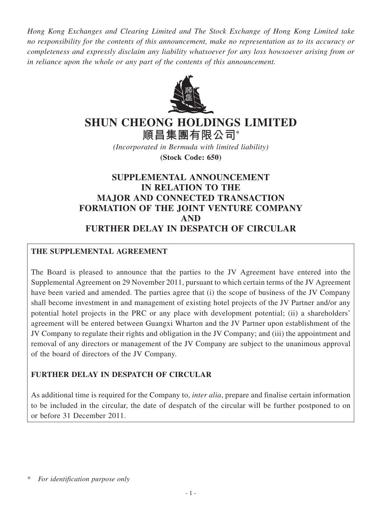*Hong Kong Exchanges and Clearing Limited and The Stock Exchange of Hong Kong Limited take no responsibility for the contents of this announcement, make no representation as to its accuracy or completeness and expressly disclaim any liability whatsoever for any loss howsoever arising from or in reliance upon the whole or any part of the contents of this announcement.*



# **SHUN CHEONG HOLDINGS LIMITED**

**順昌集團有限公司\***

*(Incorporated in Bermuda with limited liability)* **(Stock Code: 650)**

# **SUPPLEMENTAL ANNOUNCEMENT IN RELATION TO THE MAJOR AND CONNECTED TRANSACTION FORMATION OF THE JOINT VENTURE COMPANY AND FURTHER DELAY IN DESPATCH OF CIRCULAR**

## **THE SUPPLEMENTAL AGREEMENT**

The Board is pleased to announce that the parties to the JV Agreement have entered into the Supplemental Agreement on 29 November 2011, pursuant to which certain terms of the JV Agreement have been varied and amended. The parties agree that (i) the scope of business of the JV Company shall become investment in and management of existing hotel projects of the JV Partner and/or any potential hotel projects in the PRC or any place with development potential; (ii) a shareholders' agreement will be entered between Guangxi Wharton and the JV Partner upon establishment of the JV Company to regulate their rights and obligation in the JV Company; and (iii) the appointment and removal of any directors or management of the JV Company are subject to the unanimous approval of the board of directors of the JV Company.

### **FURTHER DELAY IN DESPATCH OF CIRCULAR**

As additional time is required for the Company to, *inter alia*, prepare and finalise certain information to be included in the circular, the date of despatch of the circular will be further postponed to on or before 31 December 2011.

<sup>\*</sup> *For identification purpose only*